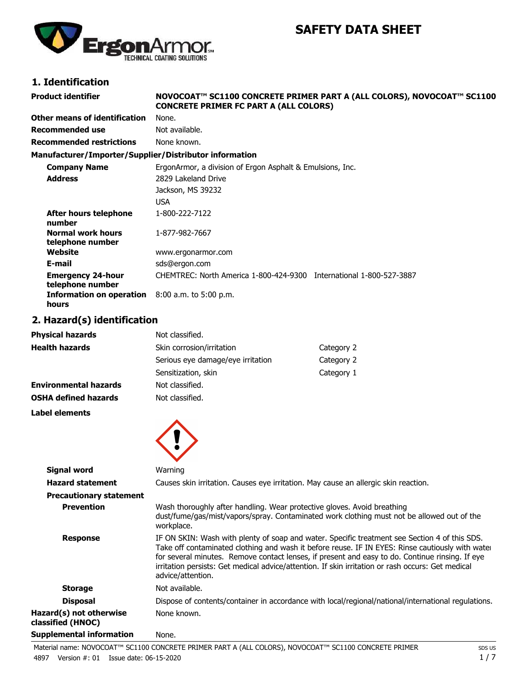# **SAFETY DATA SHEET**



# **1. Identification**

| <b>Product identifier</b>                              | NOVOCOAT™ SC1100 CONCRETE PRIMER PART A (ALL COLORS), NOVOCOAT™ SC1100<br><b>CONCRETE PRIMER FC PART A (ALL COLORS)</b> |
|--------------------------------------------------------|-------------------------------------------------------------------------------------------------------------------------|
| Other means of identification                          | None.                                                                                                                   |
| Recommended use                                        | Not available.                                                                                                          |
| <b>Recommended restrictions</b>                        | None known.                                                                                                             |
| Manufacturer/Importer/Supplier/Distributor information |                                                                                                                         |
| <b>Company Name</b>                                    | ErgonArmor, a division of Ergon Asphalt & Emulsions, Inc.                                                               |
| <b>Address</b>                                         | 2829 Lakeland Drive                                                                                                     |
|                                                        | Jackson, MS 39232                                                                                                       |
|                                                        | USA                                                                                                                     |
| After hours telephone<br>number                        | 1-800-222-7122                                                                                                          |
| <b>Normal work hours</b><br>telephone number           | 1-877-982-7667                                                                                                          |
| Website                                                | www.ergonarmor.com                                                                                                      |
| E-mail                                                 | sds@ergon.com                                                                                                           |
| <b>Emergency 24-hour</b><br>telephone number           | CHEMTREC: North America 1-800-424-9300 International 1-800-527-3887                                                     |
| Information on operation<br>hours                      | 8:00 a.m. to 5:00 p.m.                                                                                                  |

## **2. Hazard(s) identification**

| <b>Physical hazards</b>      | Not classified.                   |            |
|------------------------------|-----------------------------------|------------|
| <b>Health hazards</b>        | Skin corrosion/irritation         | Category 2 |
|                              | Serious eye damage/eye irritation | Category 2 |
|                              | Sensitization, skin               | Category 1 |
| <b>Environmental hazards</b> | Not classified.                   |            |
| <b>OSHA defined hazards</b>  | Not classified.                   |            |
| Label elements               |                                   |            |



| <b>Signal word</b>                           | Warning                                                                                                                                                                                                                                                                                                                                                                                                                        |
|----------------------------------------------|--------------------------------------------------------------------------------------------------------------------------------------------------------------------------------------------------------------------------------------------------------------------------------------------------------------------------------------------------------------------------------------------------------------------------------|
| <b>Hazard statement</b>                      | Causes skin irritation. Causes eye irritation. May cause an allergic skin reaction.                                                                                                                                                                                                                                                                                                                                            |
| <b>Precautionary statement</b>               |                                                                                                                                                                                                                                                                                                                                                                                                                                |
| <b>Prevention</b>                            | Wash thoroughly after handling. Wear protective gloves. Avoid breathing<br>dust/fume/gas/mist/vapors/spray. Contaminated work clothing must not be allowed out of the<br>workplace.                                                                                                                                                                                                                                            |
| <b>Response</b>                              | IF ON SKIN: Wash with plenty of soap and water. Specific treatment see Section 4 of this SDS.<br>Take off contaminated clothing and wash it before reuse. IF IN EYES: Rinse cautiously with water<br>for several minutes. Remove contact lenses, if present and easy to do. Continue rinsing. If eye<br>irritation persists: Get medical advice/attention. If skin irritation or rash occurs: Get medical<br>advice/attention. |
| <b>Storage</b>                               | Not available.                                                                                                                                                                                                                                                                                                                                                                                                                 |
| <b>Disposal</b>                              | Dispose of contents/container in accordance with local/regional/national/international regulations.                                                                                                                                                                                                                                                                                                                            |
| Hazard(s) not otherwise<br>classified (HNOC) | None known.                                                                                                                                                                                                                                                                                                                                                                                                                    |
| <b>Supplemental information</b>              | None.                                                                                                                                                                                                                                                                                                                                                                                                                          |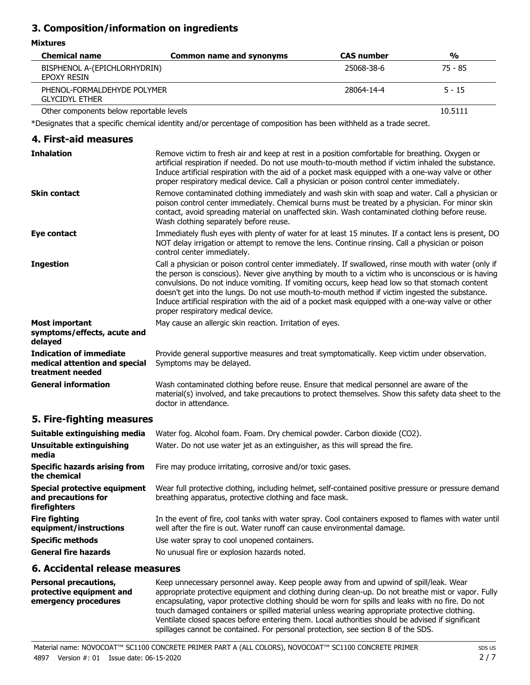## **3. Composition/information on ingredients**

#### **Mixtures**

| <b>Chemical name</b>                                 | Common name and synonyms | <b>CAS</b> number | $\frac{0}{0}$ |
|------------------------------------------------------|--------------------------|-------------------|---------------|
| BISPHENOL A-(EPICHLORHYDRIN)<br>EPOXY RESIN          |                          | 25068-38-6        | 75 - 85       |
| PHENOL-FORMALDEHYDE POLYMER<br><b>GLYCIDYL ETHER</b> |                          | 28064-14-4        | $5 - 15$      |

Other components below reportable levels 10.5111

\*Designates that a specific chemical identity and/or percentage of composition has been withheld as a trade secret.

#### **4. First-aid measures** Remove victim to fresh air and keep at rest in a position comfortable for breathing. Oxygen or artificial respiration if needed. Do not use mouth-to-mouth method if victim inhaled the substance. Induce artificial respiration with the aid of a pocket mask equipped with a one-way valve or other proper respiratory medical device. Call a physician or poison control center immediately. **Inhalation** Remove contaminated clothing immediately and wash skin with soap and water. Call a physician or poison control center immediately. Chemical burns must be treated by a physician. For minor skin contact, avoid spreading material on unaffected skin. Wash contaminated clothing before reuse. Wash clothing separately before reuse. **Skin contact** Immediately flush eyes with plenty of water for at least 15 minutes. If a contact lens is present, DO NOT delay irrigation or attempt to remove the lens. Continue rinsing. Call a physician or poison control center immediately. **Eye contact** Call a physician or poison control center immediately. If swallowed, rinse mouth with water (only if the person is conscious). Never give anything by mouth to a victim who is unconscious or is having convulsions. Do not induce vomiting. If vomiting occurs, keep head low so that stomach content doesn't get into the lungs. Do not use mouth-to-mouth method if victim ingested the substance. Induce artificial respiration with the aid of a pocket mask equipped with a one-way valve or other proper respiratory medical device. **Ingestion Most important** May cause an allergic skin reaction. Irritation of eyes. **symptoms/effects, acute and delayed** Provide general supportive measures and treat symptomatically. Keep victim under observation. Symptoms may be delayed. **Indication of immediate medical attention and special treatment needed** Wash contaminated clothing before reuse. Ensure that medical personnel are aware of the **General information**

## **5. Fire-fighting measures**

| Suitable extinguishing media                                        | Water fog. Alcohol foam. Foam. Dry chemical powder. Carbon dioxide (CO2).                                                                                                         |
|---------------------------------------------------------------------|-----------------------------------------------------------------------------------------------------------------------------------------------------------------------------------|
| Unsuitable extinguishing<br>media                                   | Water. Do not use water jet as an extinguisher, as this will spread the fire.                                                                                                     |
| Specific hazards arising from<br>the chemical                       | Fire may produce irritating, corrosive and/or toxic gases.                                                                                                                        |
| Special protective equipment<br>and precautions for<br>firefighters | Wear full protective clothing, including helmet, self-contained positive pressure or pressure demand<br>breathing apparatus, protective clothing and face mask.                   |
| <b>Fire fighting</b><br>equipment/instructions                      | In the event of fire, cool tanks with water spray. Cool containers exposed to flames with water until<br>well after the fire is out. Water runoff can cause environmental damage. |
| <b>Specific methods</b>                                             | Use water spray to cool unopened containers.                                                                                                                                      |
| <b>General fire hazards</b>                                         | No unusual fire or explosion hazards noted.                                                                                                                                       |

material(s) involved, and take precautions to protect themselves. Show this safety data sheet to the

## **6. Accidental release measures**

| <b>Personal precautions,</b>                     | Keep unnecessary personnel away. Keep people away from and upwind of spill/leak. Wear                                                                                                                                                                                                 |
|--------------------------------------------------|---------------------------------------------------------------------------------------------------------------------------------------------------------------------------------------------------------------------------------------------------------------------------------------|
| protective equipment and<br>emergency procedures | appropriate protective equipment and clothing during clean-up. Do not breathe mist or vapor. Fully<br>encapsulating, vapor protective clothing should be worn for spills and leaks with no fire. Do not                                                                               |
|                                                  | touch damaged containers or spilled material unless wearing appropriate protective clothing.<br>Ventilate closed spaces before entering them. Local authorities should be advised if significant<br>spillages cannot be contained. For personal protection, see section 8 of the SDS. |

doctor in attendance.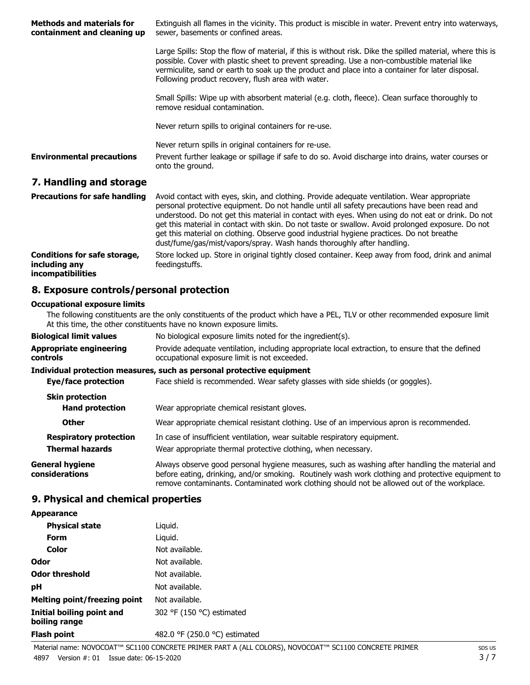| <b>Methods and materials for</b><br>containment and cleaning up | Extinguish all flames in the vicinity. This product is miscible in water. Prevent entry into waterways,<br>sewer, basements or confined areas.                                                                                                                                                                                                                       |
|-----------------------------------------------------------------|----------------------------------------------------------------------------------------------------------------------------------------------------------------------------------------------------------------------------------------------------------------------------------------------------------------------------------------------------------------------|
|                                                                 | Large Spills: Stop the flow of material, if this is without risk. Dike the spilled material, where this is<br>possible. Cover with plastic sheet to prevent spreading. Use a non-combustible material like<br>vermiculite, sand or earth to soak up the product and place into a container for later disposal.<br>Following product recovery, flush area with water. |
|                                                                 | Small Spills: Wipe up with absorbent material (e.g. cloth, fleece). Clean surface thoroughly to<br>remove residual contamination.                                                                                                                                                                                                                                    |
|                                                                 | Never return spills to original containers for re-use.                                                                                                                                                                                                                                                                                                               |
|                                                                 | Never return spills in original containers for re-use.                                                                                                                                                                                                                                                                                                               |
| <b>Environmental precautions</b>                                | Prevent further leakage or spillage if safe to do so. Avoid discharge into drains, water courses or<br>onto the ground.                                                                                                                                                                                                                                              |
| 7. Handling and storage                                         |                                                                                                                                                                                                                                                                                                                                                                      |
| <b>Precautions for safe handling</b>                            | Avoid contact with eyes, skin, and clothing. Provide adequate ventilation. Wear appropriate<br>personal protective equipment. Do not handle until all safety precautions have been read and                                                                                                                                                                          |

|                                                                    | get this material in contact with skin. Do not taste or swallow. Avoid prolonged exposure. Do not<br>get this material on clothing. Observe good industrial hygiene practices. Do not breathe<br>dust/fume/gas/mist/vapors/spray. Wash hands thoroughly after handling. |
|--------------------------------------------------------------------|-------------------------------------------------------------------------------------------------------------------------------------------------------------------------------------------------------------------------------------------------------------------------|
| Conditions for safe storage,<br>including any<br>incompatibilities | Store locked up. Store in original tightly closed container. Keep away from food, drink and animal<br>feedingstuffs.                                                                                                                                                    |

understood. Do not get this material in contact with eyes. When using do not eat or drink. Do not

## **8. Exposure controls/personal protection**

#### **Occupational exposure limits**

The following constituents are the only constituents of the product which have a PEL, TLV or other recommended exposure limit. At this time, the other constituents have no known exposure limits.

| <b>Biological limit values</b>                          | No biological exposure limits noted for the ingredient(s).                                                                                                                                                                                                                                         |
|---------------------------------------------------------|----------------------------------------------------------------------------------------------------------------------------------------------------------------------------------------------------------------------------------------------------------------------------------------------------|
| <b>Appropriate engineering</b><br>controls              | Provide adequate ventilation, including appropriate local extraction, to ensure that the defined<br>occupational exposure limit is not exceeded.                                                                                                                                                   |
|                                                         | Individual protection measures, such as personal protective equipment                                                                                                                                                                                                                              |
| Eye/face protection                                     | Face shield is recommended. Wear safety glasses with side shields (or goggles).                                                                                                                                                                                                                    |
| <b>Skin protection</b><br><b>Hand protection</b>        | Wear appropriate chemical resistant gloves.                                                                                                                                                                                                                                                        |
| <b>Other</b>                                            | Wear appropriate chemical resistant clothing. Use of an impervious apron is recommended.                                                                                                                                                                                                           |
| <b>Respiratory protection</b><br><b>Thermal hazards</b> | In case of insufficient ventilation, wear suitable respiratory equipment.<br>Wear appropriate thermal protective clothing, when necessary.                                                                                                                                                         |
| <b>General hygiene</b><br>considerations                | Always observe good personal hygiene measures, such as washing after handling the material and<br>before eating, drinking, and/or smoking. Routinely wash work clothing and protective equipment to<br>remove contaminants. Contaminated work clothing should not be allowed out of the workplace. |

### **9. Physical and chemical properties**

#### **Appearance**

| <b>Physical state</b>                      | Liquid.                       |
|--------------------------------------------|-------------------------------|
| Form                                       | Liguid.                       |
| Color                                      | Not available.                |
| Odor                                       | Not available.                |
| Odor threshold                             | Not available.                |
| рH                                         | Not available.                |
| Melting point/freezing point               | Not available.                |
| Initial boiling point and<br>boiling range | 302 °F (150 °C) estimated     |
| Flash point                                | 482.0 °F (250.0 °C) estimated |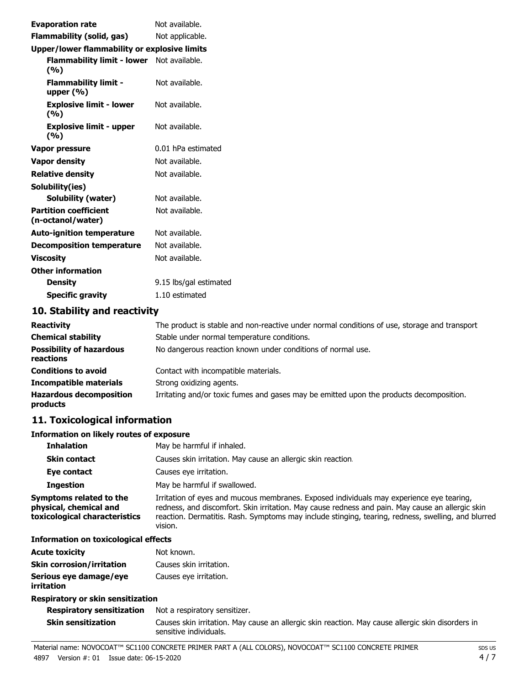| <b>Evaporation rate</b>                           | Not available.         |
|---------------------------------------------------|------------------------|
| Flammability (solid, gas)                         | Not applicable.        |
| Upper/lower flammability or explosive limits      |                        |
| Flammability limit - lower Not available.<br>(%)  |                        |
| <b>Flammability limit -</b><br>upper $(\% )$      | Not available.         |
| <b>Explosive limit - lower</b><br>(%)             | Not available.         |
| <b>Explosive limit - upper</b><br>(%)             | Not available.         |
| Vapor pressure                                    | 0.01 hPa estimated     |
| <b>Vapor density</b>                              | Not available.         |
| <b>Relative density</b>                           | Not available.         |
| Solubility(ies)                                   |                        |
| <b>Solubility (water)</b>                         | Not available.         |
| <b>Partition coefficient</b><br>(n-octanol/water) | Not available.         |
| <b>Auto-ignition temperature</b>                  | Not available.         |
| <b>Decomposition temperature</b>                  | Not available.         |
| <b>Viscosity</b>                                  | Not available.         |
| <b>Other information</b>                          |                        |
| <b>Density</b>                                    | 9.15 lbs/gal estimated |
| <b>Specific gravity</b>                           | 1.10 estimated         |

## **10. Stability and reactivity**

| <b>Reactivity</b>                            | The product is stable and non-reactive under normal conditions of use, storage and transport |
|----------------------------------------------|----------------------------------------------------------------------------------------------|
| <b>Chemical stability</b>                    | Stable under normal temperature conditions.                                                  |
| <b>Possibility of hazardous</b><br>reactions | No dangerous reaction known under conditions of normal use.                                  |
| <b>Conditions to avoid</b>                   | Contact with incompatible materials.                                                         |
| <b>Incompatible materials</b>                | Strong oxidizing agents.                                                                     |
| <b>Hazardous decomposition</b><br>products   | Irritating and/or toxic fumes and gases may be emitted upon the products decomposition.      |

## **11. Toxicological information**

### **Information on likely routes of exposure**

| <b>Inhalation</b>                                                                  | May be harmful if inhaled.                                                                                                                                                                                                                                                                                    |  |  |
|------------------------------------------------------------------------------------|---------------------------------------------------------------------------------------------------------------------------------------------------------------------------------------------------------------------------------------------------------------------------------------------------------------|--|--|
| <b>Skin contact</b>                                                                | Causes skin irritation. May cause an allergic skin reaction.                                                                                                                                                                                                                                                  |  |  |
| Eye contact                                                                        | Causes eye irritation.                                                                                                                                                                                                                                                                                        |  |  |
| <b>Ingestion</b>                                                                   | May be harmful if swallowed.                                                                                                                                                                                                                                                                                  |  |  |
| Symptoms related to the<br>physical, chemical and<br>toxicological characteristics | Irritation of eyes and mucous membranes. Exposed individuals may experience eye tearing,<br>redness, and discomfort. Skin irritation. May cause redness and pain. May cause an allergic skin<br>reaction. Dermatitis. Rash. Symptoms may include stinging, tearing, redness, swelling, and blurred<br>vision. |  |  |

#### **Information on toxicological effects**

| <b>Acute toxicity</b>            | Not known.              |
|----------------------------------|-------------------------|
| <b>Skin corrosion/irritation</b> | Causes skin irritation. |
| Serious eye damage/eye           | Causes eye irritation.  |
| irritation                       |                         |

#### **Respiratory or skin sensitization**

#### **Respiratory sensitization** Not a respiratory sensitizer. Causes skin irritation. May cause an allergic skin reaction. May cause allergic skin disorders in sensitive individuals. **Skin sensitization**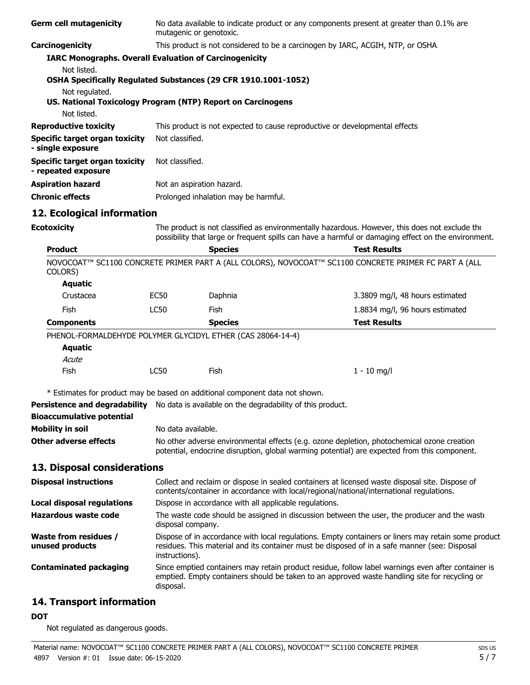| <b>Germ cell mutagenicity</b>                                                 | No data available to indicate product or any components present at greater than 0.1% are<br>mutagenic or genotoxic.                                                                                                    |                                                                                                                                                                                                       |                                                                                                       |  |  |  |
|-------------------------------------------------------------------------------|------------------------------------------------------------------------------------------------------------------------------------------------------------------------------------------------------------------------|-------------------------------------------------------------------------------------------------------------------------------------------------------------------------------------------------------|-------------------------------------------------------------------------------------------------------|--|--|--|
| Carcinogenicity                                                               | This product is not considered to be a carcinogen by IARC, ACGIH, NTP, or OSHA.                                                                                                                                        |                                                                                                                                                                                                       |                                                                                                       |  |  |  |
| <b>IARC Monographs. Overall Evaluation of Carcinogenicity</b>                 |                                                                                                                                                                                                                        |                                                                                                                                                                                                       |                                                                                                       |  |  |  |
| Not listed.<br>OSHA Specifically Regulated Substances (29 CFR 1910.1001-1052) |                                                                                                                                                                                                                        |                                                                                                                                                                                                       |                                                                                                       |  |  |  |
| Not regulated.<br>US. National Toxicology Program (NTP) Report on Carcinogens |                                                                                                                                                                                                                        |                                                                                                                                                                                                       |                                                                                                       |  |  |  |
| Not listed.                                                                   |                                                                                                                                                                                                                        |                                                                                                                                                                                                       |                                                                                                       |  |  |  |
| <b>Reproductive toxicity</b>                                                  |                                                                                                                                                                                                                        | This product is not expected to cause reproductive or developmental effects                                                                                                                           |                                                                                                       |  |  |  |
| <b>Specific target organ toxicity</b><br>- single exposure                    | Not classified.                                                                                                                                                                                                        |                                                                                                                                                                                                       |                                                                                                       |  |  |  |
| <b>Specific target organ toxicity</b><br>- repeated exposure                  | Not classified.                                                                                                                                                                                                        |                                                                                                                                                                                                       |                                                                                                       |  |  |  |
| <b>Aspiration hazard</b>                                                      |                                                                                                                                                                                                                        | Not an aspiration hazard.                                                                                                                                                                             |                                                                                                       |  |  |  |
| <b>Chronic effects</b>                                                        |                                                                                                                                                                                                                        | Prolonged inhalation may be harmful.                                                                                                                                                                  |                                                                                                       |  |  |  |
| 12. Ecological information                                                    |                                                                                                                                                                                                                        |                                                                                                                                                                                                       |                                                                                                       |  |  |  |
| <b>Ecotoxicity</b>                                                            |                                                                                                                                                                                                                        | The product is not classified as environmentally hazardous. However, this does not exclude the<br>possibility that large or frequent spills can have a harmful or damaging effect on the environment. |                                                                                                       |  |  |  |
| <b>Product</b>                                                                |                                                                                                                                                                                                                        | <b>Species</b>                                                                                                                                                                                        | <b>Test Results</b>                                                                                   |  |  |  |
| COLORS)                                                                       |                                                                                                                                                                                                                        |                                                                                                                                                                                                       | NOVOCOAT™ SC1100 CONCRETE PRIMER PART A (ALL COLORS), NOVOCOAT™ SC1100 CONCRETE PRIMER FC PART A (ALL |  |  |  |
| <b>Aquatic</b>                                                                |                                                                                                                                                                                                                        |                                                                                                                                                                                                       |                                                                                                       |  |  |  |
| Crustacea                                                                     | <b>EC50</b>                                                                                                                                                                                                            | Daphnia                                                                                                                                                                                               | 3.3809 mg/l, 48 hours estimated                                                                       |  |  |  |
| Fish                                                                          | <b>LC50</b>                                                                                                                                                                                                            | Fish                                                                                                                                                                                                  | 1.8834 mg/l, 96 hours estimated                                                                       |  |  |  |
| <b>Components</b>                                                             |                                                                                                                                                                                                                        | <b>Species</b>                                                                                                                                                                                        | <b>Test Results</b>                                                                                   |  |  |  |
| PHENOL-FORMALDEHYDE POLYMER GLYCIDYL ETHER (CAS 28064-14-4)                   |                                                                                                                                                                                                                        |                                                                                                                                                                                                       |                                                                                                       |  |  |  |
| <b>Aquatic</b>                                                                |                                                                                                                                                                                                                        |                                                                                                                                                                                                       |                                                                                                       |  |  |  |
| Acute                                                                         |                                                                                                                                                                                                                        |                                                                                                                                                                                                       |                                                                                                       |  |  |  |
| Fish                                                                          | <b>LC50</b>                                                                                                                                                                                                            | Fish                                                                                                                                                                                                  | $1 - 10$ mg/l                                                                                         |  |  |  |
| * Estimates for product may be based on additional component data not shown.  |                                                                                                                                                                                                                        |                                                                                                                                                                                                       |                                                                                                       |  |  |  |
| <b>Persistence and degradability</b>                                          |                                                                                                                                                                                                                        | No data is available on the degradability of this product.                                                                                                                                            |                                                                                                       |  |  |  |
| <b>Bioaccumulative potential</b>                                              |                                                                                                                                                                                                                        |                                                                                                                                                                                                       |                                                                                                       |  |  |  |
| <b>Mobility in soil</b>                                                       |                                                                                                                                                                                                                        | No data available.                                                                                                                                                                                    |                                                                                                       |  |  |  |
| <b>Other adverse effects</b>                                                  |                                                                                                                                                                                                                        | No other adverse environmental effects (e.g. ozone depletion, photochemical ozone creation<br>potential, endocrine disruption, global warming potential) are expected from this component.            |                                                                                                       |  |  |  |
| 13. Disposal considerations                                                   |                                                                                                                                                                                                                        |                                                                                                                                                                                                       |                                                                                                       |  |  |  |
| <b>Disposal instructions</b>                                                  |                                                                                                                                                                                                                        | Collect and reclaim or dispose in sealed containers at licensed waste disposal site. Dispose of<br>contents/container in accordance with local/regional/national/international regulations.           |                                                                                                       |  |  |  |
| Local disposal regulations                                                    |                                                                                                                                                                                                                        | Dispose in accordance with all applicable regulations.                                                                                                                                                |                                                                                                       |  |  |  |
| <b>Hazardous waste code</b>                                                   |                                                                                                                                                                                                                        | The waste code should be assigned in discussion between the user, the producer and the waste<br>disposal company.                                                                                     |                                                                                                       |  |  |  |
| <b>Waste from residues /</b><br>unused products                               | Dispose of in accordance with local regulations. Empty containers or liners may retain some product<br>residues. This material and its container must be disposed of in a safe manner (see: Disposal<br>instructions). |                                                                                                                                                                                                       |                                                                                                       |  |  |  |
| <b>Contaminated packaging</b>                                                 | Since emptied containers may retain product residue, follow label warnings even after container is<br>emptied. Empty containers should be taken to an approved waste handling site for recycling or<br>disposal.       |                                                                                                                                                                                                       |                                                                                                       |  |  |  |
| 14. Transport information                                                     |                                                                                                                                                                                                                        |                                                                                                                                                                                                       |                                                                                                       |  |  |  |

### **DOT**

Not regulated as dangerous goods.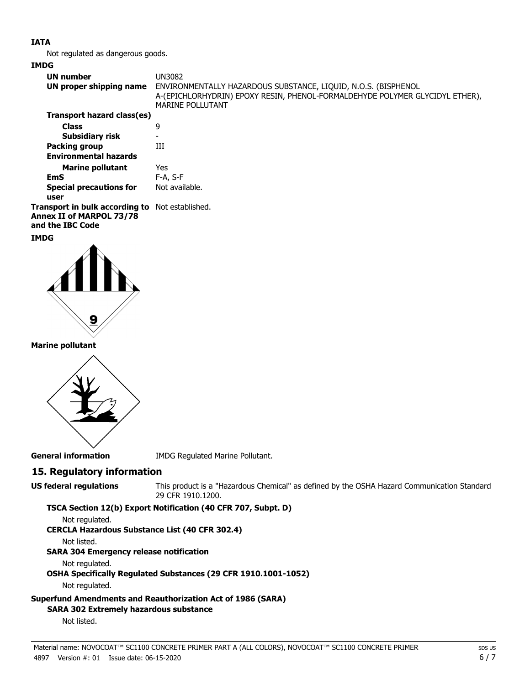### **IATA**

Not regulated as dangerous goods.

#### **IMDG**

| <b>UN number</b>                                                                   | UN3082                                                                                                                                                                    |
|------------------------------------------------------------------------------------|---------------------------------------------------------------------------------------------------------------------------------------------------------------------------|
| UN proper shipping name                                                            | ENVIRONMENTALLY HAZARDOUS SUBSTANCE, LIQUID, N.O.S. (BISPHENOL<br>A-(EPICHLORHYDRIN) EPOXY RESIN, PHENOL-FORMALDEHYDE POLYMER GLYCIDYL ETHER),<br><b>MARINE POLLUTANT</b> |
| Transport hazard class(es)                                                         |                                                                                                                                                                           |
| <b>Class</b>                                                                       | 9                                                                                                                                                                         |
| Subsidiary risk                                                                    |                                                                                                                                                                           |
| Packing group                                                                      | Ш                                                                                                                                                                         |
| <b>Environmental hazards</b>                                                       |                                                                                                                                                                           |
| <b>Marine pollutant</b>                                                            | Yes                                                                                                                                                                       |
| <b>EmS</b>                                                                         | $F-A. S-F$                                                                                                                                                                |
| <b>Special precautions for</b>                                                     | Not available.                                                                                                                                                            |
| user                                                                               |                                                                                                                                                                           |
| <b>Transport in bulk according to</b> Not established.<br>Annex II of MARPOL 73/78 |                                                                                                                                                                           |

**and the IBC Code**

## **IMDG**



### **Marine pollutant**



**General information** IMDG Regulated Marine Pollutant.

## **15. Regulatory information**

**US federal regulations**

This product is a "Hazardous Chemical" as defined by the OSHA Hazard Communication Standard, 29 CFR 1910.1200.

**TSCA Section 12(b) Export Notification (40 CFR 707, Subpt. D)**

Not regulated.

### **CERCLA Hazardous Substance List (40 CFR 302.4)**

Not listed.

### **SARA 304 Emergency release notification**

Not regulated.

**OSHA Specifically Regulated Substances (29 CFR 1910.1001-1052)**

Not regulated.

## **Superfund Amendments and Reauthorization Act of 1986 (SARA)**

#### **SARA 302 Extremely hazardous substance**

Not listed.